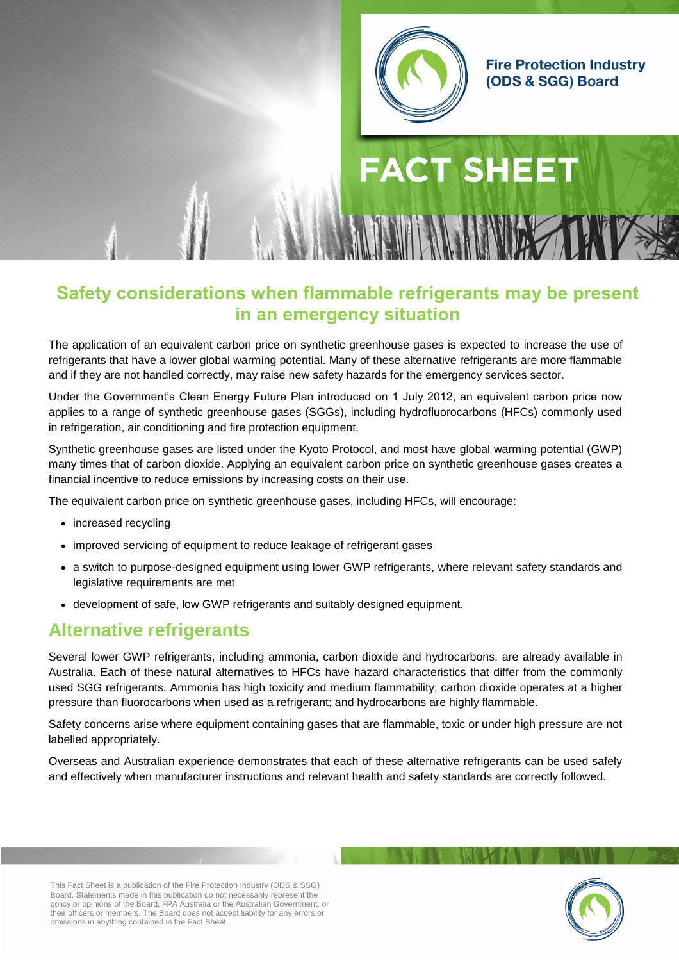

**FACT SHEET** 

# **Safety considerations when flammable refrigerants may be present in an emergency situation**

The application of an equivalent carbon price on synthetic greenhouse gases is expected to increase the use of refrigerants that have a lower global warming potential. Many of these alternative refrigerants are more flammable and if they are not handled correctly, may raise new safety hazards for the emergency services sector.

Under the Government's Clean Energy Future Plan introduced on 1 July 2012, an equivalent carbon price now applies to a range of synthetic greenhouse gases (SGGs), including hydrofluorocarbons (HFCs) commonly used in refrigeration, air conditioning and fire protection equipment.

Synthetic greenhouse gases are listed under the Kyoto Protocol, and most have global warming potential (GWP) many times that of carbon dioxide. Applying an equivalent carbon price on synthetic greenhouse gases creates a financial incentive to reduce emissions by increasing costs on their use.

The equivalent carbon price on synthetic greenhouse gases, including HFCs, will encourage:

- increased recycling
- improved servicing of equipment to reduce leakage of refrigerant gases
- a switch to purpose-designed equipment using lower GWP refrigerants, where relevant safety standards and legislative requirements are met
- development of safe, low GWP refrigerants and suitably designed equipment.

## **Alternative refrigerants**

Several lower GWP refrigerants, including ammonia, carbon dioxide and hydrocarbons, are already available in Australia. Each of these natural alternatives to HFCs have hazard characteristics that differ from the commonly used SGG refrigerants. Ammonia has high toxicity and medium flammability; carbon dioxide operates at a higher pressure than fluorocarbons when used as a refrigerant; and hydrocarbons are highly flammable.

Safety concerns arise where equipment containing gases that are flammable, toxic or under high pressure are not labelled appropriately.

Overseas and Australian experience demonstrates that each of these alternative refrigerants can be used safely and effectively when manufacturer instructions and relevant health and safety standards are correctly followed.